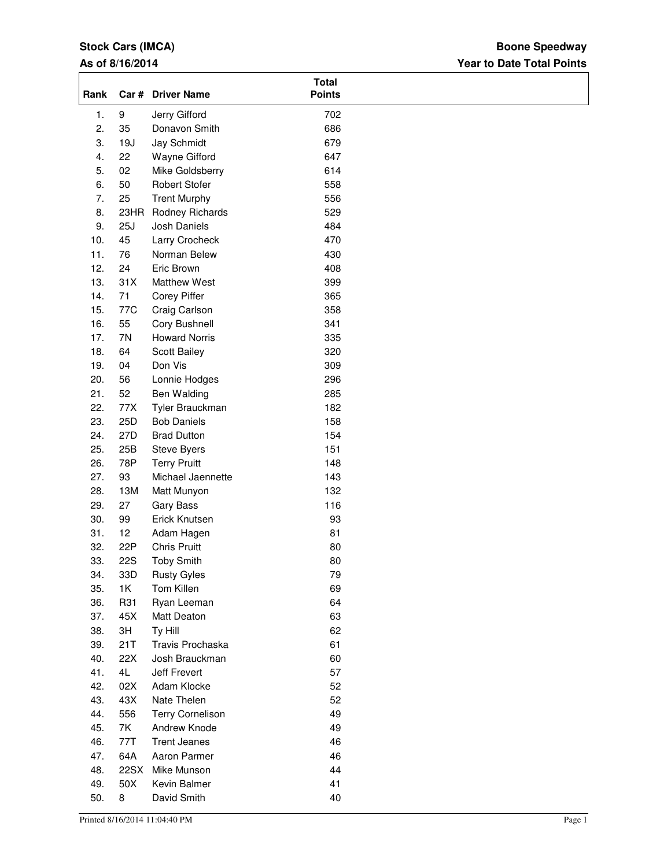## **Stock Cars (IMCA)**

## **As of 8/16/2014**

## **Year to Date Total Points Boone Speedway**

| Rank |            | Car # Driver Name       | <b>Total</b><br><b>Points</b> |
|------|------------|-------------------------|-------------------------------|
| 1.   | 9          | Jerry Gifford           | 702                           |
| 2.   | 35         | Donavon Smith           | 686                           |
| 3.   | 19J        | Jay Schmidt             | 679                           |
| 4.   | 22         | Wayne Gifford           | 647                           |
| 5.   | 02         | Mike Goldsberry         | 614                           |
| 6.   | 50         | <b>Robert Stofer</b>    | 558                           |
| 7.   | 25         | <b>Trent Murphy</b>     | 556                           |
| 8.   | 23HR       | Rodney Richards         | 529                           |
| 9.   | 25J        | Josh Daniels            | 484                           |
| 10.  | 45         | Larry Crocheck          | 470                           |
| 11.  | 76         | Norman Belew            | 430                           |
| 12.  | 24         | Eric Brown              | 408                           |
| 13.  | 31X        | <b>Matthew West</b>     | 399                           |
| 14.  | 71         | <b>Corey Piffer</b>     | 365                           |
| 15.  | 77C        | Craig Carlson           | 358                           |
| 16.  | 55         | Cory Bushnell           | 341                           |
| 17.  | 7N         | <b>Howard Norris</b>    | 335                           |
| 18.  | 64         | Scott Bailey            | 320                           |
| 19.  | 04         | Don Vis                 | 309                           |
| 20.  | 56         | Lonnie Hodges           | 296                           |
| 21.  | 52         |                         | 285                           |
| 22.  | 77X        | Ben Walding             |                               |
|      |            | Tyler Brauckman         | 182                           |
| 23.  | 25D        | <b>Bob Daniels</b>      | 158                           |
| 24.  | 27D        | <b>Brad Dutton</b>      | 154                           |
| 25.  | 25B        | Steve Byers             | 151                           |
| 26.  | 78P        | <b>Terry Pruitt</b>     | 148                           |
| 27.  | 93         | Michael Jaennette       | 143                           |
| 28.  | 13M        | Matt Munyon             | 132                           |
| 29.  | 27         | <b>Gary Bass</b>        | 116                           |
| 30.  | 99         | Erick Knutsen           | 93                            |
| 31.  | 12         | Adam Hagen              | 81                            |
| 32.  | 22P        | <b>Chris Pruitt</b>     | 80                            |
| 33.  | <b>22S</b> | <b>Toby Smith</b>       | 80                            |
| 34.  | 33D        | <b>Rusty Gyles</b>      | 79                            |
| 35.  | 1K         | Tom Killen              | 69                            |
| 36.  | R31        | Ryan Leeman             | 64                            |
| 37.  | 45X        | Matt Deaton             | 63                            |
| 38.  | 3H         | Ty Hill                 | 62                            |
| 39.  | 21T        | Travis Prochaska        | 61                            |
| 40.  | 22X        | Josh Brauckman          | 60                            |
| 41.  | 4L         | Jeff Frevert            | 57                            |
| 42.  | 02X        | Adam Klocke             | 52                            |
|      |            |                         |                               |
| 43.  | 43X        | Nate Thelen             | 52                            |
| 44.  | 556        | <b>Terry Cornelison</b> | 49                            |
| 45.  | 7K         | Andrew Knode            | 49                            |
| 46.  | 77T        | <b>Trent Jeanes</b>     | 46                            |
| 47.  | 64A        | Aaron Parmer            | 46                            |
| 48.  | 22SX       | Mike Munson             | 44                            |
| 49.  | 50X        | Kevin Balmer            | 41                            |
| 50.  | 8          | David Smith             | 40                            |